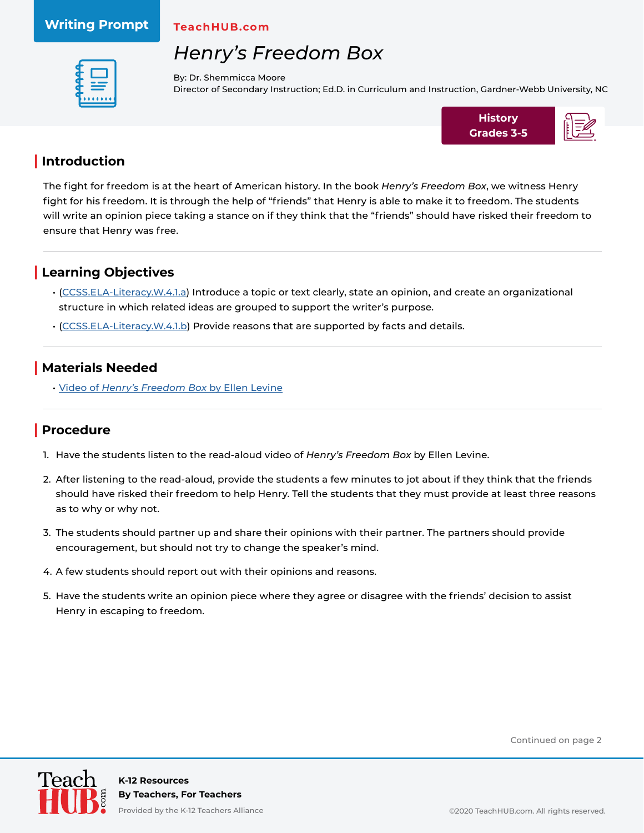#### **Writing Prompt**

**TeachHUB.com**

# *Henry's Freedom Box*



By: Dr. Shemmicca Moore Director of Secondary Instruction; Ed.D. in Curriculum and Instruction, Gardner-Webb University, NC



### **| Introduction**

The fight for freedom is at the heart of American history. In the book *Henry's Freedom Box*, we witness Henry fight for his freedom. It is through the help of "friends" that Henry is able to make it to freedom. The students will write an opinion piece taking a stance on if they think that the "friends" should have risked their freedom to ensure that Henry was free.

### **| Learning Objectives**

- [\(CCSS.ELA-Literacy.W.4.1.a](http://www.corestandards.org/ELA-Literacy/W/4/1/a/)) Introduce a topic or text clearly, state an opinion, and create an organizational structure in which related ideas are grouped to support the writer's purpose.
- [\(CCSS.ELA-Literacy.W.4.1.b](http://www.corestandards.org/ELA-Literacy/W/4/1/b/)) Provide reasons that are supported by facts and details.

### **| Materials Needed**

• Video of *[Henry's Freedom Box](https://www.youtube.com/watch?v=UHszJOck_YE)* by Ellen Levine

### **| Procedure**

- 1. Have the students listen to the read-aloud video of *Henry's Freedom Box* by Ellen Levine.
- 2. After listening to the read-aloud, provide the students a few minutes to jot about if they think that the friends should have risked their freedom to help Henry. Tell the students that they must provide at least three reasons as to why or why not.
- 3. The students should partner up and share their opinions with their partner. The partners should provide encouragement, but should not try to change the speaker's mind.
- 4. A few students should report out with their opinions and reasons.
- 5. Have the students write an opinion piece where they agree or disagree with the friends' decision to assist Henry in escaping to freedom.

Continued on page 2



Provided by the K-12 Teachers Alliance **Department of the COLO TeachHUB.com. All rights reserved.**